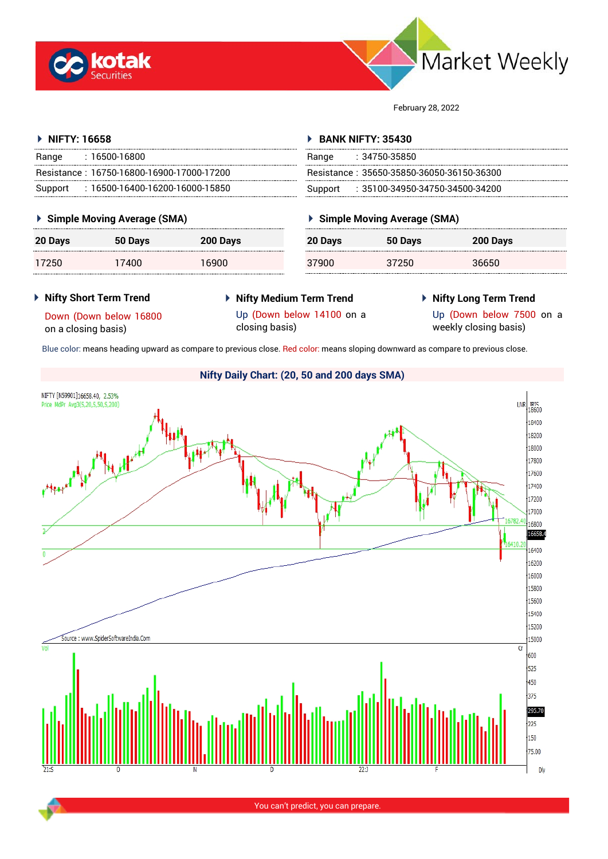



February 28, 2022

#### **NIFTY: 16658** Range : 16500-16800 Resistance : 16750-16800-16900-17000-17200 Support : 16500-16400-16200-16000-15850 **BANK NIFTY: 35430** Range : 34750-35850 Resistance : 35650-35850-36050-36150-36300 Support : 35100-34950-34750-34500-34200

## **Simple Moving Average (SMA)**

| 20 Days | 50 Days | 200 Days |
|---------|---------|----------|
| 17250   | 17400   | 16900    |

## **Simple Moving Average (SMA)**

| 20 Days | 50 Days | 200 Days |
|---------|---------|----------|
| 37.GO   | 37250   | 36650    |

### **Nifty Short Term Trend**

**Nifty Medium Term Trend**

# **Nifty Long Term Trend**

Down (Down below 16800 on a closing basis)

Up (Down below 7500 on a

Up (Down below 14100 on a closing basis)

weekly closing basis)

Blue color: means heading upward as compare to previous close. Red color: means sloping downward as compare to previous close.

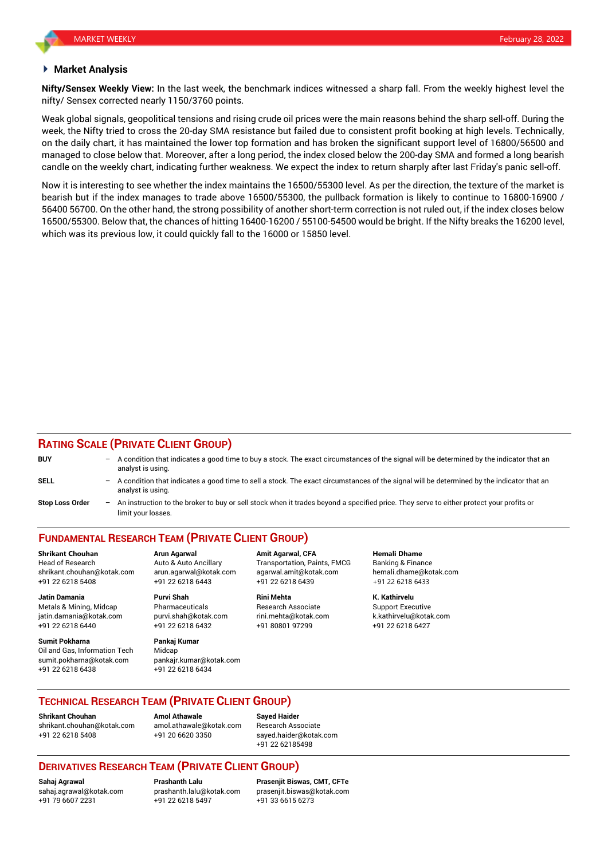#### **Market Analysis**

**Nifty/Sensex Weekly View:** In the last week, the benchmark indices witnessed a sharp fall. From the weekly highest level the nifty/ Sensex corrected nearly 1150/3760 points.

Weak global signals, geopolitical tensions and rising crude oil prices were the main reasons behind the sharp sell-off. During the week, the Nifty tried to cross the 20-day SMA resistance but failed due to consistent profit booking at high levels. Technically, on the daily chart, it has maintained the lower top formation and has broken the significant support level of 16800/56500 and managed to close below that. Moreover, after a long period, the index closed below the 200-day SMA and formed a long bearish candle on the weekly chart, indicating further weakness. We expect the index to return sharply after last Friday's panic sell-off.

Now it is interesting to see whether the index maintains the 16500/55300 level. As per the direction, the texture of the market is bearish but if the index manages to trade above 16500/55300, the pullback formation is likely to continue to 16800-16900 / 56400 56700. On the other hand, the strong possibility of another short-term correction is not ruled out, if the index closes below 16500/55300. Below that, the chances of hitting 16400-16200 / 55100-54500 would be bright. If the Nifty breaks the 16200 level, which was its previous low, it could quickly fall to the 16000 or 15850 level.

### **RATING SCALE (PRIVATE CLIENT GROUP)**

| <b>BUY</b>             | A condition that indicates a good time to buy a stock. The exact circumstances of the signal will be determined by the indicator that an<br>analyst is using.    |
|------------------------|------------------------------------------------------------------------------------------------------------------------------------------------------------------|
| <b>SELL</b>            | - A condition that indicates a good time to sell a stock. The exact circumstances of the signal will be determined by the indicator that an<br>analyst is using. |
| <b>Stop Loss Order</b> | An instruction to the broker to buy or sell stock when it trades beyond a specified price. They serve to either protect your profits or<br>limit your losses.    |

## **FUNDAMENTAL RESEARCH TEAM (PRIVATE CLIENT GROUP)**

Head of Research **Auto & Auto Ancillary** Transportation, Paints, FMCG Banking & Finance shrikant.chouhan@kotak.com arun.agarwal@kotak.com [agarwal.amit@kotak.com](mailto:agarwal.amit@kotak.com) hemali.dhame@kotak.com +91 22 6218 5408 +91 22 6218 6443 +91 22 6218 6439 +91 22 6218 6433

Metals & Mining, Midcap **Pharmaceuticals** Research Associate Support Executive Research Associate jatin.damania@kotak.com [purvi.shah@kotak.com](mailto:purvi.shah@kotak.com) rini.mehta@kotak.com [k.kathirvelu@kotak.com](mailto:k.kathirvelu@kotak.com) +91 22 6218 6440 +91 22 6218 6432 +91 80801 97299 +91 22 6218 6427

**Sumit Pokharna** Pankaj Kumar Oil and Gas, Information Tech Midcap sumit.pokharna@kotak.com pankajr.kumar@kotak.com +91 22 6218 6438 +91 22 6218 6434

**Jatin Damania Purvi Shah Rini Mehta K. Kathirvelu**

**Shrikant Chouhan Arun Agarwal Amit Agarwal, CFA Hemali Dhame**

### **TECHNICAL RESEARCH TEAM (PRIVATE CLIENT GROUP)**

**Shrikant Chouhan Amol Athawale Sayed Haider** [shrikant.chouhan@kotak.com](mailto:shrikant.chouhan@kotak.com) [amol.athawale@kotak.com](mailto:amol.athawale@kotak.com) Research Associate +91 22 6218 5408 +91 20 6620 3350 [sayed.haider@kotak.com](mailto:sayed.haider@kotak.com)

+91 22 62185498

## **DERIVATIVES RESEARCH TEAM (PRIVATE CLIENT GROUP)**

+91 79 6607 2231 +91 22 6218 5497 +91 33 6615 6273

**Sahaj Agrawal Prashanth Lalu Prasenjit Biswas, CMT, CFTe** [prasenjit.biswas@kotak.com](mailto:prasenjit.biswas@kotak.com)